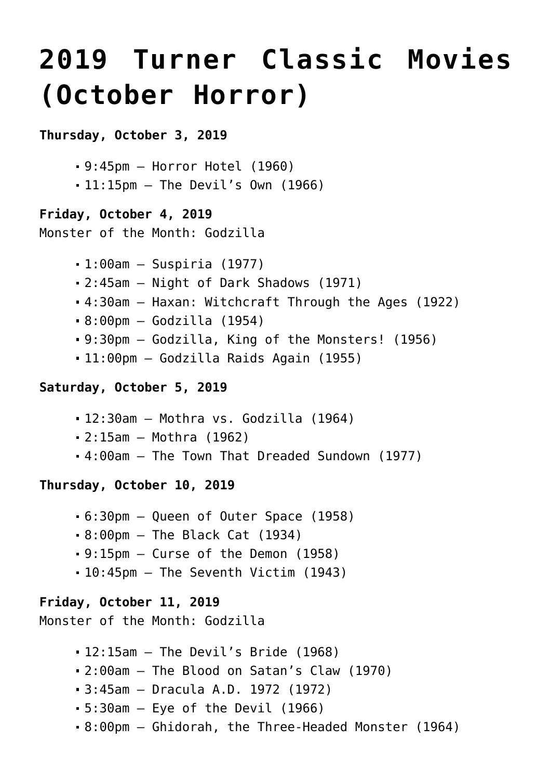# **[2019 Turner Classic Movies](https://www.halloweenmoviesontv.com/archives/2019-turner-classic-movies-october-horror/) [\(October Horror\)](https://www.halloweenmoviesontv.com/archives/2019-turner-classic-movies-october-horror/)**

## **Thursday, October 3, 2019**

```
9:45pm – Horror Hotel (1960)
```
11:15pm – The Devil's Own (1966)

## **Friday, October 4, 2019**

```
Monster of the Month: Godzilla
```

```
1:00am – Suspiria (1977)
```
- 2:45am Night of Dark Shadows (1971)
- 4:30am Haxan: Witchcraft Through the Ages (1922)
- 8:00pm Godzilla (1954)
- 9:30pm Godzilla, King of the Monsters! (1956)
- 11:00pm Godzilla Raids Again (1955)

# **Saturday, October 5, 2019**

- 12:30am Mothra vs. Godzilla (1964)
- 2:15am Mothra (1962)
- 4:00am The Town That Dreaded Sundown (1977)

## **Thursday, October 10, 2019**

- 6:30pm Queen of Outer Space (1958)
- 8:00pm The Black Cat (1934)
- 9:15pm Curse of the Demon (1958)
- 10:45pm The Seventh Victim (1943)

## **Friday, October 11, 2019**

```
Monster of the Month: Godzilla
```
- 12:15am The Devil's Bride (1968)
- 2:00am The Blood on Satan's Claw (1970)
- 3:45am Dracula A.D. 1972 (1972)
- $-5:30$ am  $-$  Eye of the Devil (1966)
- 8:00pm Ghidorah, the Three-Headed Monster (1964)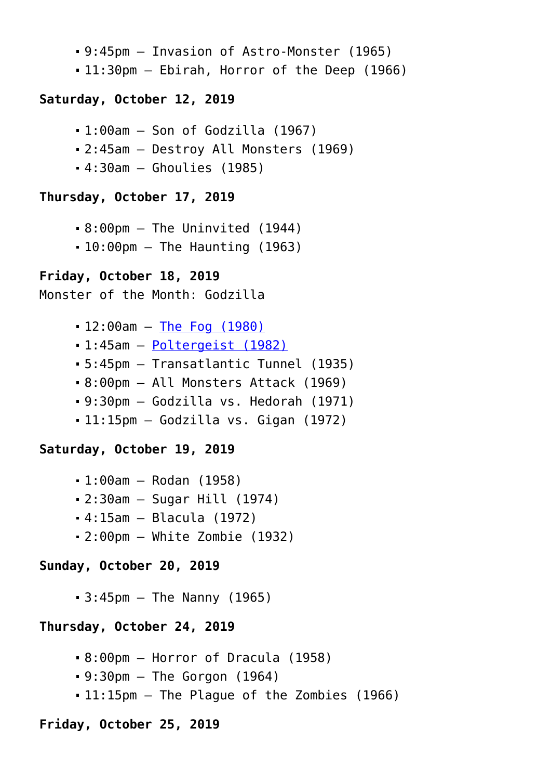- 9:45pm Invasion of Astro-Monster (1965)
- 11:30pm Ebirah, Horror of the Deep (1966)

#### **Saturday, October 12, 2019**

- 1:00am Son of Godzilla (1967)
- 2:45am Destroy All Monsters (1969)
- 4:30am Ghoulies (1985)

#### **Thursday, October 17, 2019**

- 8:00pm The Uninvited (1944)
- $-10:00$ pm The Haunting (1963)

#### **Friday, October 18, 2019**

```
Monster of the Month: Godzilla
```
- 12:00am [The Fog \(1980\)](https://www.halloweenmoviesontv.com/halloween-movies-a-to-z/the-fog-1980/)
- 1:45am – [Poltergeist \(1982\)](https://www.halloweenmoviesontv.com/halloween-movies-a-to-z/poltergeist-1982/)
- 5:45pm Transatlantic Tunnel (1935)
- 8:00pm All Monsters Attack (1969)
- 9:30pm Godzilla vs. Hedorah (1971)
- 11:15pm Godzilla vs. Gigan (1972)

#### **Saturday, October 19, 2019**

- 1:00am Rodan (1958)
- 2:30am Sugar Hill (1974)
- 4:15am Blacula (1972)
- 2:00pm White Zombie (1932)

#### **Sunday, October 20, 2019**

 $-3:45$ pm  $-$  The Nanny (1965)

#### **Thursday, October 24, 2019**

- 8:00pm Horror of Dracula (1958)
- $-9:30$ pm  $-$  The Gorgon (1964)
- 11:15pm The Plague of the Zombies (1966)

# **Friday, October 25, 2019**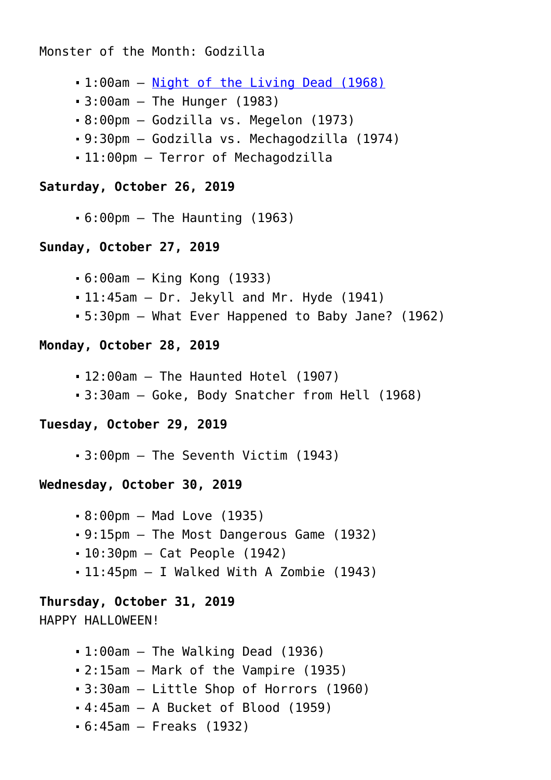Monster of the Month: Godzilla

- 1:00am – [Night of the Living Dead \(1968\)](https://www.halloweenmoviesontv.com/halloween-movies-a-to-z/night-of-the-living-dead-1968/)
- 3:00am The Hunger (1983)
- 8:00pm Godzilla vs. Megelon (1973)
- 9:30pm Godzilla vs. Mechagodzilla (1974)
- 11:00pm Terror of Mechagodzilla

#### **Saturday, October 26, 2019**

 $-6:00$ pm  $-$  The Haunting (1963)

#### **Sunday, October 27, 2019**

- 6:00am King Kong (1933)
- 11:45am Dr. Jekyll and Mr. Hyde (1941)
- 5:30pm What Ever Happened to Baby Jane? (1962)

#### **Monday, October 28, 2019**

- 12:00am The Haunted Hotel (1907)
- 3:30am Goke, Body Snatcher from Hell (1968)

#### **Tuesday, October 29, 2019**

3:00pm – The Seventh Victim (1943)

#### **Wednesday, October 30, 2019**

- 8:00pm Mad Love (1935)
- 9:15pm The Most Dangerous Game (1932)
- 10:30pm Cat People (1942)
- 11:45pm I Walked With A Zombie (1943)

# **Thursday, October 31, 2019**

# HAPPY HALLOWEEN!

- $-1:00$ am  $-$  The Walking Dead (1936)
- 2:15am Mark of the Vampire (1935)
- 3:30am Little Shop of Horrors (1960)
- 4:45am A Bucket of Blood (1959)
- 6:45am Freaks (1932)